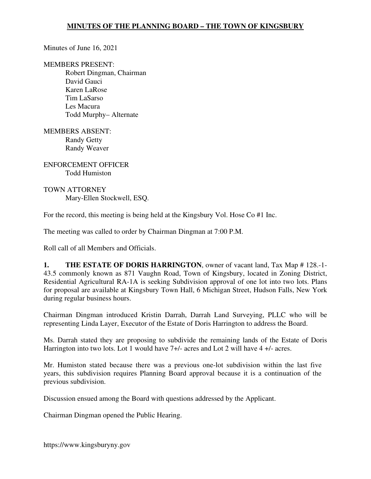Minutes of June 16, 2021

MEMBERS PRESENT:

Robert Dingman, Chairman David Gauci Karen LaRose Tim LaSarso Les Macura Todd Murphy– Alternate

MEMBERS ABSENT: Randy Getty Randy Weaver

ENFORCEMENT OFFICER Todd Humiston

TOWN ATTORNEY Mary-Ellen Stockwell, ESQ.

For the record, this meeting is being held at the Kingsbury Vol. Hose Co #1 Inc.

The meeting was called to order by Chairman Dingman at 7:00 P.M.

Roll call of all Members and Officials.

**1. THE ESTATE OF DORIS HARRINGTON**, owner of vacant land, Tax Map # 128.-1- 43.5 commonly known as 871 Vaughn Road, Town of Kingsbury, located in Zoning District, Residential Agricultural RA-1A is seeking Subdivision approval of one lot into two lots. Plans for proposal are available at Kingsbury Town Hall, 6 Michigan Street, Hudson Falls, New York during regular business hours.

Chairman Dingman introduced Kristin Darrah, Darrah Land Surveying, PLLC who will be representing Linda Layer, Executor of the Estate of Doris Harrington to address the Board.

Ms. Darrah stated they are proposing to subdivide the remaining lands of the Estate of Doris Harrington into two lots. Lot 1 would have 7+/- acres and Lot 2 will have 4 +/- acres.

Mr. Humiston stated because there was a previous one-lot subdivision within the last five years, this subdivision requires Planning Board approval because it is a continuation of the previous subdivision.

Discussion ensued among the Board with questions addressed by the Applicant.

Chairman Dingman opened the Public Hearing.

https://www.kingsburyny.gov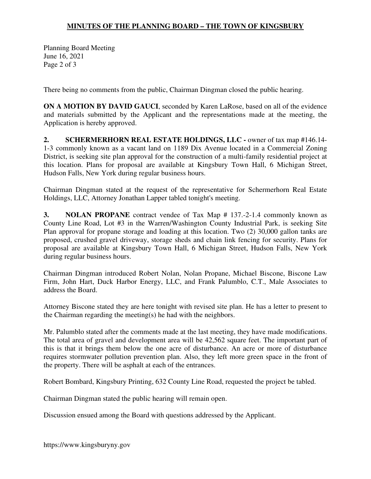## **MINUTES OF THE PLANNING BOARD – THE TOWN OF KINGSBURY**

Planning Board Meeting June 16, 2021 Page 2 of 3

There being no comments from the public, Chairman Dingman closed the public hearing.

**ON A MOTION BY DAVID GAUCI**, seconded by Karen LaRose, based on all of the evidence and materials submitted by the Applicant and the representations made at the meeting, the Application is hereby approved.

**2. SCHERMERHORN REAL ESTATE HOLDINGS, LLC** - owner of tax map #146.14-1-3 commonly known as a vacant land on 1189 Dix Avenue located in a Commercial Zoning District, is seeking site plan approval for the construction of a multi-family residential project at this location. Plans for proposal are available at Kingsbury Town Hall, 6 Michigan Street, Hudson Falls, New York during regular business hours.

Chairman Dingman stated at the request of the representative for Schermerhorn Real Estate Holdings, LLC, Attorney Jonathan Lapper tabled tonight's meeting.

**3. NOLAN PROPANE** contract vendee of Tax Map # 137.-2-1.4 commonly known as County Line Road, Lot #3 in the Warren/Washington County Industrial Park, is seeking Site Plan approval for propane storage and loading at this location. Two (2) 30,000 gallon tanks are proposed, crushed gravel driveway, storage sheds and chain link fencing for security. Plans for proposal are available at Kingsbury Town Hall, 6 Michigan Street, Hudson Falls, New York during regular business hours.

Chairman Dingman introduced Robert Nolan, Nolan Propane, Michael Biscone, Biscone Law Firm, John Hart, Duck Harbor Energy, LLC, and Frank Palumblo, C.T., Male Associates to address the Board.

Attorney Biscone stated they are here tonight with revised site plan. He has a letter to present to the Chairman regarding the meeting(s) he had with the neighbors.

Mr. Palumblo stated after the comments made at the last meeting, they have made modifications. The total area of gravel and development area will be 42,562 square feet. The important part of this is that it brings them below the one acre of disturbance. An acre or more of disturbance requires stormwater pollution prevention plan. Also, they left more green space in the front of the property. There will be asphalt at each of the entrances.

Robert Bombard, Kingsbury Printing, 632 County Line Road, requested the project be tabled.

Chairman Dingman stated the public hearing will remain open.

Discussion ensued among the Board with questions addressed by the Applicant.

https://www.kingsburyny.gov